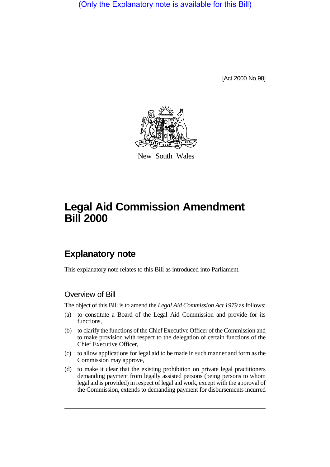(Only the Explanatory note is available for this Bill)

[Act 2000 No 98]



New South Wales

# **Legal Aid Commission Amendment Bill 2000**

# **Explanatory note**

This explanatory note relates to this Bill as introduced into Parliament.

### Overview of Bill

The object of this Bill is to amend the *Legal Aid Commission Act 1979* as follows:

- (a) to constitute a Board of the Legal Aid Commission and provide for its functions,
- (b) to clarify the functions of the Chief Executive Officer of the Commission and to make provision with respect to the delegation of certain functions of the Chief Executive Officer,
- (c) to allow applications for legal aid to be made in such manner and form as the Commission may approve,
- (d) to make it clear that the existing prohibition on private legal practitioners demanding payment from legally assisted persons (being persons to whom legal aid is provided) in respect of legal aid work, except with the approval of the Commission, extends to demanding payment for disbursements incurred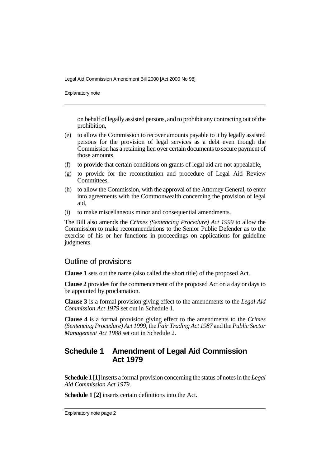Explanatory note

on behalf of legally assisted persons, and to prohibit any contracting out of the prohibition,

- (e) to allow the Commission to recover amounts payable to it by legally assisted persons for the provision of legal services as a debt even though the Commission has a retaining lien over certain documents to secure payment of those amounts,
- (f) to provide that certain conditions on grants of legal aid are not appealable,
- (g) to provide for the reconstitution and procedure of Legal Aid Review Committees,
- (h) to allow the Commission, with the approval of the Attorney General, to enter into agreements with the Commonwealth concerning the provision of legal aid,
- (i) to make miscellaneous minor and consequential amendments.

The Bill also amends the *Crimes (Sentencing Procedure) Act 1999* to allow the Commission to make recommendations to the Senior Public Defender as to the exercise of his or her functions in proceedings on applications for guideline judgments.

#### Outline of provisions

**Clause 1** sets out the name (also called the short title) of the proposed Act.

**Clause 2** provides for the commencement of the proposed Act on a day or days to be appointed by proclamation.

**Clause 3** is a formal provision giving effect to the amendments to the *Legal Aid Commission Act 1979* set out in Schedule 1.

**Clause 4** is a formal provision giving effect to the amendments to the *Crimes (Sentencing Procedure) Act 1999*, the *Fair Trading Act 1987* and the *Public Sector Management Act 1988* set out in Schedule 2.

## **Schedule 1 Amendment of Legal Aid Commission Act 1979**

**Schedule 1 [1]** inserts a formal provision concerning the status of notes in the *Legal Aid Commission Act 1979*.

**Schedule 1 [2]** inserts certain definitions into the Act.

Explanatory note page 2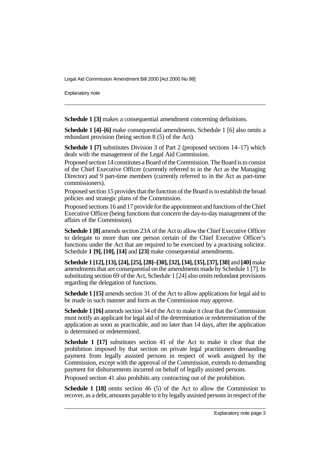Explanatory note

**Schedule 1 [3]** makes a consequential amendment concerning definitions.

**Schedule 1 [4]–[6]** make consequential amendments. Schedule 1 [6] also omits a redundant provision (being section 8 (5) of the Act).

**Schedule 1 [7]** substitutes Division 3 of Part 2 (proposed sections 14–17) which deals with the management of the Legal Aid Commission.

Proposed section 14 constitutes a Board of the Commission. The Board is to consist of the Chief Executive Officer (currently referred to in the Act as the Managing Director) and 9 part-time members (currently referred to in the Act as part-time commissioners).

Proposed section 15 provides that the function of the Board is to establish the broad policies and strategic plans of the Commission.

Proposed sections 16 and 17 provide for the appointment and functions of the Chief Executive Officer (being functions that concern the day-to-day management of the affairs of the Commission).

**Schedule 1 [8]** amends section 23A of the Act to allow the Chief Executive Officer to delegate to more than one person certain of the Chief Executive Officer's functions under the Act that are required to be exercised by a practising solicitor. Schedule **1 [9], [10], [14]** and **[23]** make consequential amendments.

**Schedule 1 [12], [13], [24], [25], [28]–[30], [32], [34], [35], [37], [38]** and **[40]** make amendments that are consequential on the amendments made by Schedule 1 [7]. In substituting section 69 of the Act, Schedule 1 [24] also omits redundant provisions regarding the delegation of functions.

**Schedule 1 [15]** amends section 31 of the Act to allow applications for legal aid to be made in such manner and form as the Commission may approve.

**Schedule 1 [16]** amends section 34 of the Act to make it clear that the Commission must notify an applicant for legal aid of the determination or redetermination of the application as soon as practicable, and no later than 14 days, after the application is determined or redetermined.

**Schedule 1 [17]** substitutes section 41 of the Act to make it clear that the prohibition imposed by that section on private legal practitioners demanding payment from legally assisted persons in respect of work assigned by the Commission, except with the approval of the Commission, extends to demanding payment for disbursements incurred on behalf of legally assisted persons.

Proposed section 41 also prohibits any contracting out of the prohibition.

**Schedule 1 [18]** omits section 46 (5) of the Act to allow the Commission to recover, as a debt, amounts payable to it by legally assisted persons in respect of the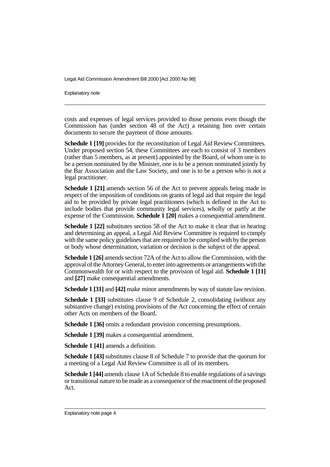Explanatory note

costs and expenses of legal services provided to those persons even though the Commission has (under section 48 of the Act) a retaining lien over certain documents to secure the payment of those amounts.

**Schedule 1 [19]** provides for the reconstitution of Legal Aid Review Committees. Under proposed section 54, these Committees are each to consist of 3 members (rather than 5 members, as at present) appointed by the Board, of whom one is to be a person nominated by the Minister, one is to be a person nominated jointly by the Bar Association and the Law Society, and one is to be a person who is not a legal practitioner.

**Schedule 1 [21]** amends section 56 of the Act to prevent appeals being made in respect of the imposition of conditions on grants of legal aid that require the legal aid to be provided by private legal practitioners (which is defined in the Act to include bodies that provide community legal services), wholly or partly at the expense of the Commission. **Schedule 1 [20]** makes a consequential amendment.

**Schedule 1 [22]** substitutes section 58 of the Act to make it clear that in hearing and determining an appeal, a Legal Aid Review Committee is required to comply with the same policy guidelines that are required to be complied with by the person or body whose determination, variation or decision is the subject of the appeal.

**Schedule 1 [26]** amends section 72A of the Act to allow the Commission, with the approval of the Attorney General, to enter into agreements or arrangements with the Commonwealth for or with respect to the provision of legal aid. **Schedule 1 [11]** and **[27]** make consequential amendments.

**Schedule 1 [31]** and **[42]** make minor amendments by way of statute law revision.

**Schedule 1 [33]** substitutes clause 9 of Schedule 2, consolidating (without any substantive change) existing provisions of the Act concerning the effect of certain other Acts on members of the Board.

**Schedule 1 [36]** omits a redundant provision concerning presumptions.

**Schedule 1 [39]** makes a consequential amendment.

**Schedule 1 [41]** amends a definition.

**Schedule 1 [43]** substitutes clause 8 of Schedule 7 to provide that the quorum for a meeting of a Legal Aid Review Committee is all of its members.

**Schedule 1 [44]** amends clause 1A of Schedule 8 to enable regulations of a savings or transitional nature to be made as a consequence of the enactment of the proposed Act.